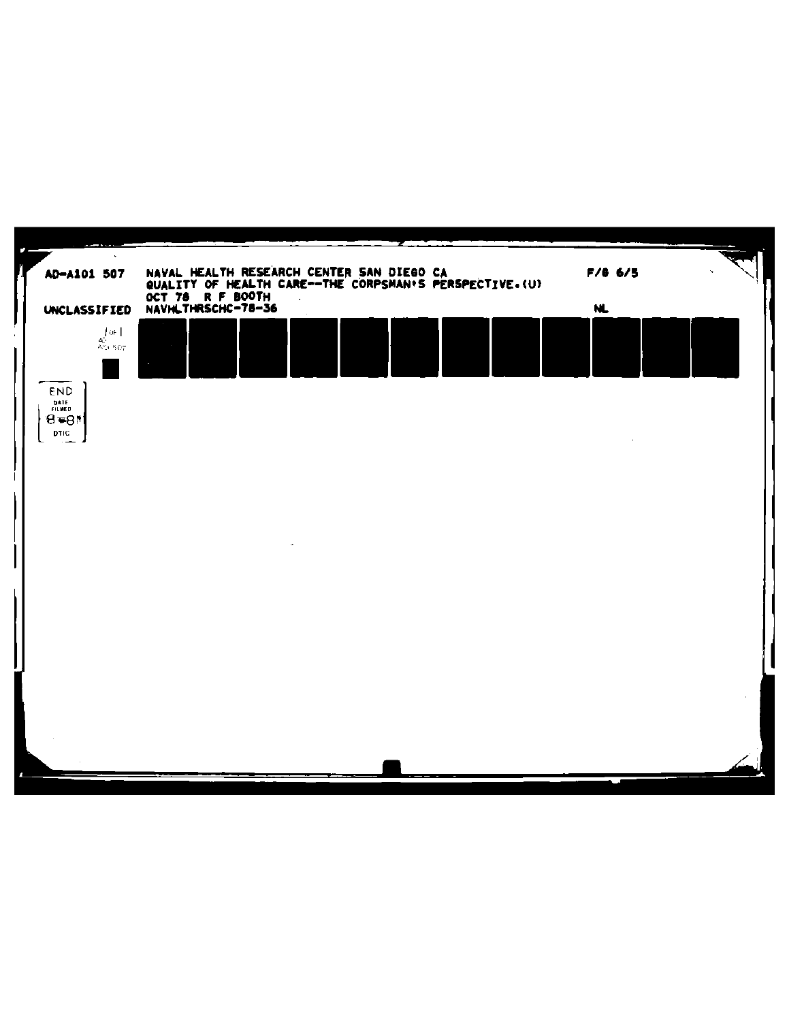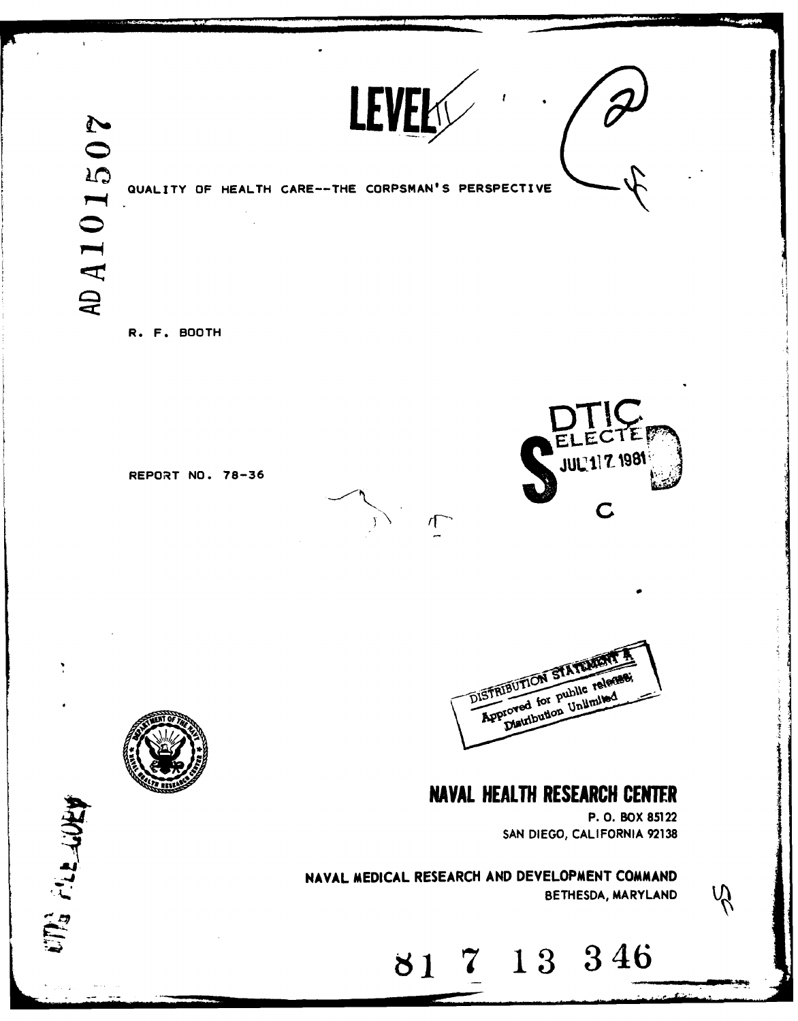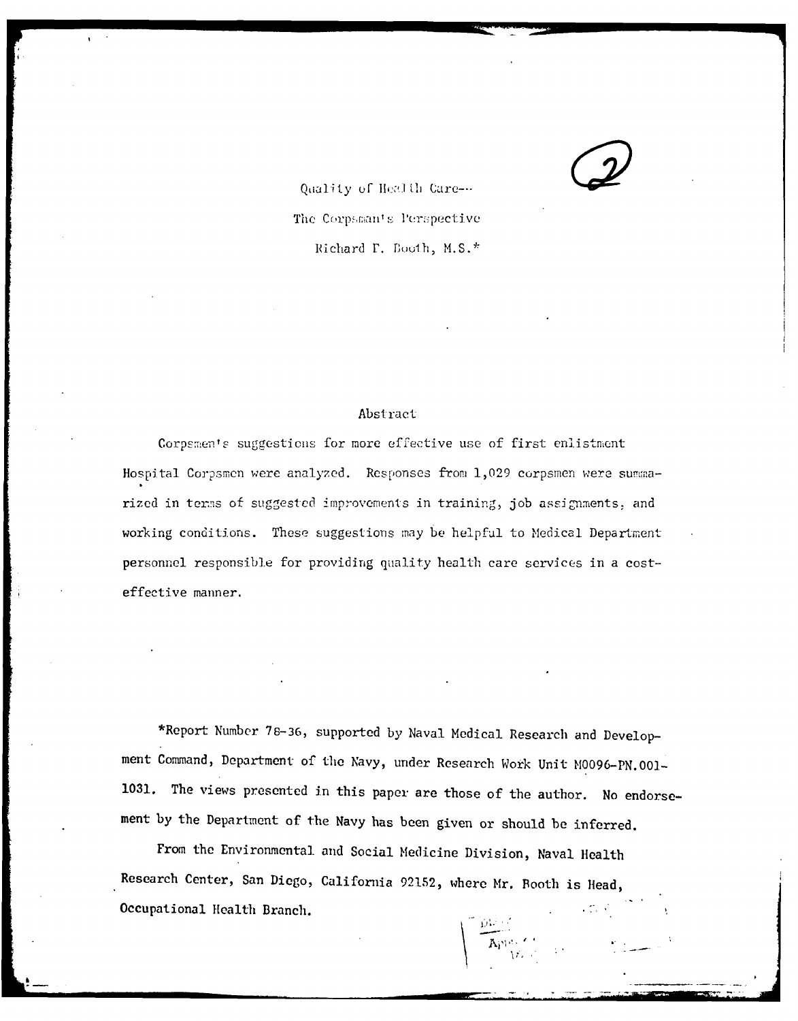Quality of Health Care---The Corpsmants Perspective Richard T. Booth, M.S.\*

## Abstract

Corpsmen's suggestions for more effective use of first enlistment Hospital Corpsmen were analyzed. Responses from 1,029 corpsmen were summarized in terms of suggested improvements in training, job assignments, and working conditions. These suggestions may be helpful to Medical Department personnel responsible for providing quality health care services in a costeffective manner.

\*Report Number 78-36, supported by Naval Medical Research and Development Command, Department of the Navy, under Research Work Unit M0096-PN.001-1031. The views presented in this paper are those of the author. No endorsement by the Department of the Navy has been given or should be inferred.

Apple of

From the Environmental and Social Medicine Division, Naval Health Research Center, San Diego, California 92152, where Mr. Booth is Head, Occupational Health Branch.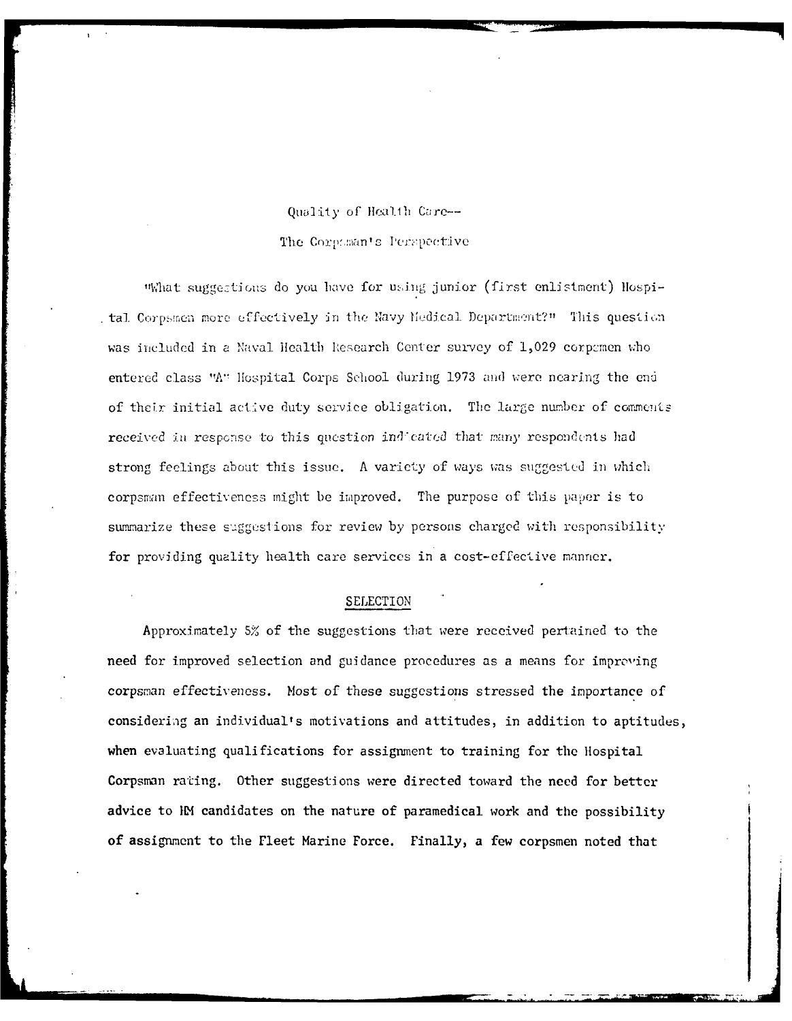# Quality of Health Care --

# The Corpuman's Perspective

"What suggestions do you have for using junior (first enlistment) Hospital Corpsmen more effectively in the Navy Medical Department?" This question was included in a Naval Health Research Center survey of 1,029 corpomen who entered class "A" Hospital Corps School during 1973 and were nearing the end of their initial active duty service obligation. The large number of comments received in response to this question indicated that many respondents had strong feelings about this issue. A variety of ways was suggested in which corpsman effectiveness might be improved. The purpose of this paper is to summarize these suggestions for review by persons charged with responsibility for providing quality health care services in a cost-effective manner.

# SELECTION

Approximately 5% of the suggestions that were received pertained to the need for improved selection and guidance procedures as a means for improving corpsman effectiveness. Most of these suggestions stressed the importance of considering an individual's motivations and attitudes, in addition to aptitudes, when evaluating qualifications for assignment to training for the Hospital Corpsman rating. Other suggestions were directed toward the need for better advice to IM candidates on the nature of paramedical work and the possibility of assignment to the Fleet Marine Force. Finally, a few corpsmen noted that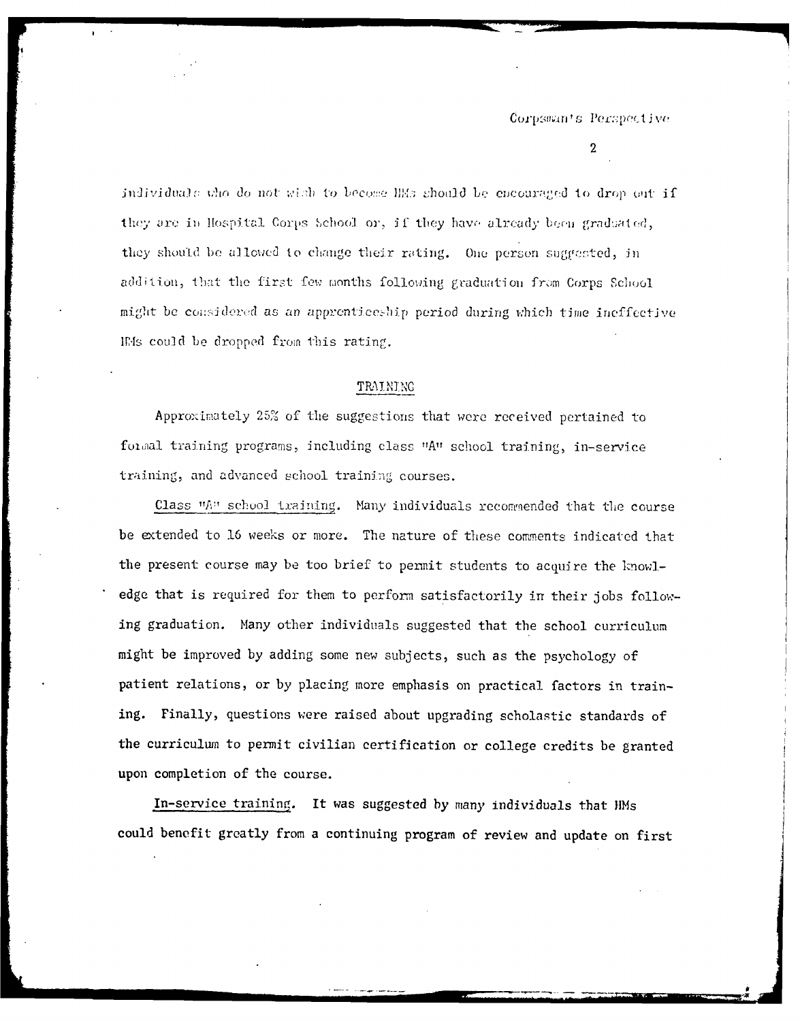$\overline{2}$ 

individuals who do not wish to become HMs should be encouraged to drop out if they are in Hospital Corps School or, if they have already been graduated, they should be allowed to change their rating. One person suggested, in addition, that the first few months following graduation from Corps School might be considered as an apprenticeship period during which time ineffective IMs could be dropped from this rating.

#### TRAINING

Approximately 25% of the suggestions that were received pertained to formal training programs, including class "A" school training, in-service training, and advanced school training courses.

Class "A" school training. Many individuals recommended that the course be extended to 16 weeks or more. The nature of these comments indicated that the present course may be too brief to permit students to acquire the knowledge that is required for them to perform satisfactorily in their jobs following graduation. Many other individuals suggested that the school curriculum might be improved by adding some new subjects, such as the psychology of patient relations, or by placing more emphasis on practical factors in training. Finally, questions were raised about upgrading scholastic standards of the curriculum to permit civilian certification or college credits be granted upon completion of the course.

In-service training. It was suggested by many individuals that HMs could benefit greatly from a continuing program of review and update on first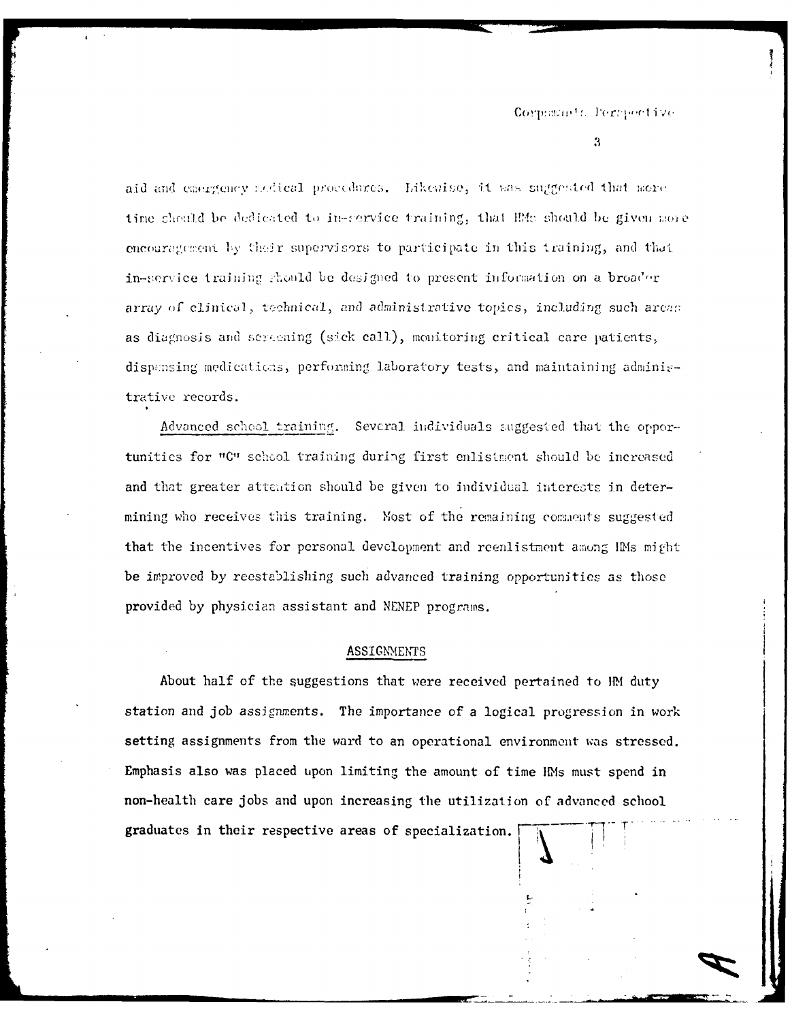#### Corpsmants Perspective

3

aid and emergency sodical procedures. Likewise, it was suggested that more time chould be dedicated to in-service training, that EMs should be given some encouragement by their supervisors to participate in this training, and that in-service training should be designed to present information on a broader array of clinical, technical, and administrative topics, including such areas as diagnosis and screening (sick call), monitoring critical care patients, dispensing medications, performing laboratory tests, and maintaining administrative records.

Advanced school training. Several individuals suggested that the opportunities for "C" school training during first enlistment should be increased and that greater attention should be given to individual interests in determining who receives this training. Most of the remaining comments suggested that the incentives for personal development and reenlistment among IMs might be improved by reestablishing such advanced training opportunities as those provided by physician assistant and NENEP programs.

#### **ASSIGNMENTS**

About half of the suggestions that were received pertained to HM duty station and job assignments. The importance of a logical progression in work setting assignments from the ward to an operational environment was stressed. Emphasis also was placed upon limiting the amount of time HMs must spend in non-health care jobs and upon increasing the utilization of advanced school graduates in their respective areas of specialization.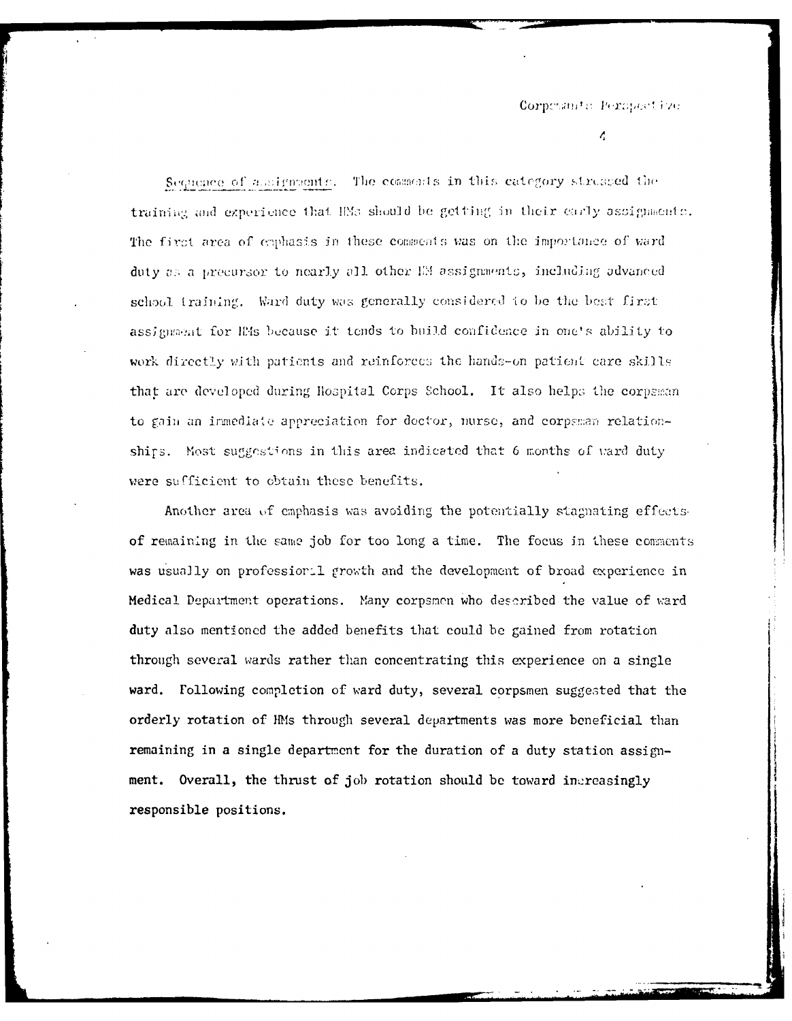#### Corposante Persportive

 $\overline{\mathcal{L}}$ 

Sequence of assignments. The commonits in this category strusped the training and experience that IMs should be getting in their early assignments. The first area of enphasis in these comments was on the importance of ward duty as a precursor to nearly all other IM assignments, including advanced school training. Ward duty was generally considered to be the best first assignment for IMs because it tends to build confidence in one's ability to work directly with patients and reinforces the hands-on patient care skills that are developed during Hospital Corps School. It also helps the corpsman to gain an immediate appreciation for doctor, nurse, and corpsman relationships. Most suggestions in this area indicated that 6 months of ward duty were sufficient to obtain these benefits.

Another area of emphasis was avoiding the potentially stagnating effects. of remaining in the same job for too long a time. The focus in these comments was usually on professional growth and the development of broad experience in Medical Department operations. Many corpsmen who described the value of ward duty also mentioned the added benefits that could be gained from rotation through several wards rather than concentrating this experience on a single ward. Following completion of ward duty, several corpsmen suggested that the orderly rotation of HMs through several departments was more beneficial than remaining in a single department for the duration of a duty station assignment. Overall, the thrust of job rotation should be toward increasingly responsible positions.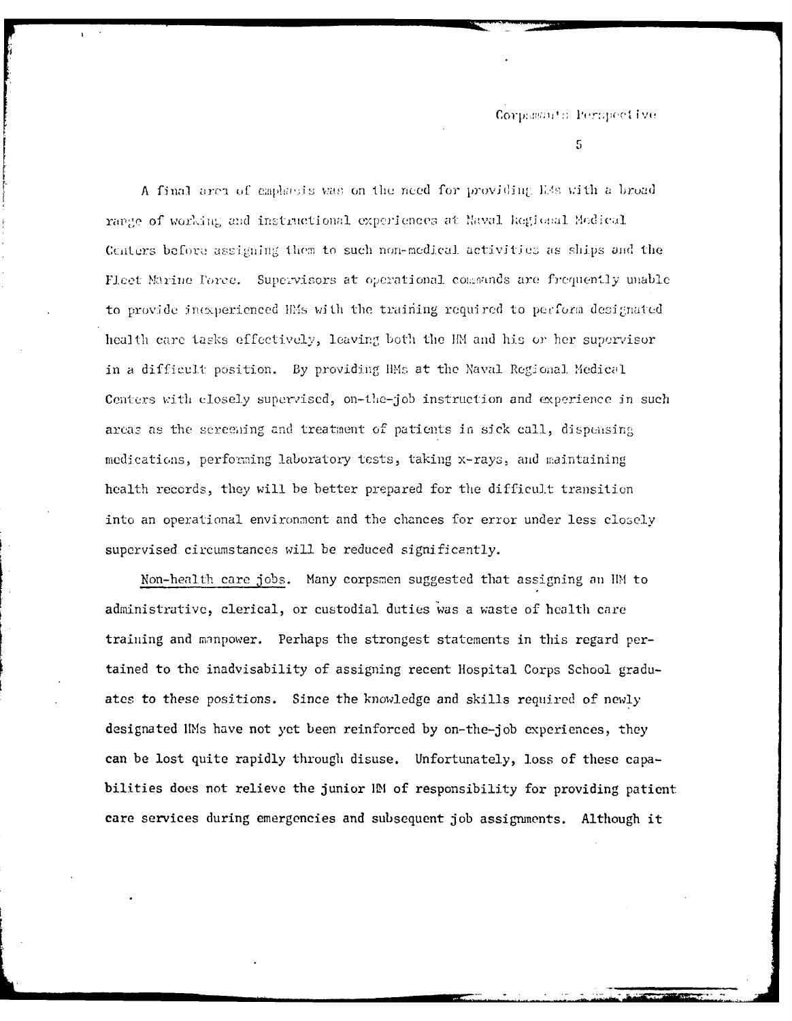$5\,$ 

A final area of caphasis was on the need for providing E4s with a broad range of working and instructional experiences at Naval Regional Medical Centers before assigning them to such non-medical activities as ships and the Fleet Marine Force. Supervisors at operational commands are frequently unable to provide inexperienced HMs with the training required to perform designated health care tasks effectively, leaving both the HM and his or her supervisor in a difficult position. By providing HMs at the Naval Regional Medical Centers with closely supervised, on-the-job instruction and experience in such areas as the screening and treatment of patients in sick call, dispensing medications, performing laboratory tests, taking x-rays, and maintaining health records, they will be better prepared for the difficult transition into an operational environment and the chances for error under less closely supervised circumstances will be reduced significantly.

Non-health care jobs. Many corpsmen suggested that assigning an HM to administrative, clerical, or custodial duties was a waste of health care training and manpower. Perhaps the strongest statements in this regard pertained to the inadvisability of assigning recent Hospital Corps School graduates to these positions. Since the knowledge and skills required of newly designated IMs have not yet been reinforced by on-the-job experiences, they can be lost quite rapidly through disuse. Unfortunately, loss of these capabilities does not relieve the junior IM of responsibility for providing patient care services during emergencies and subsequent job assignments. Although it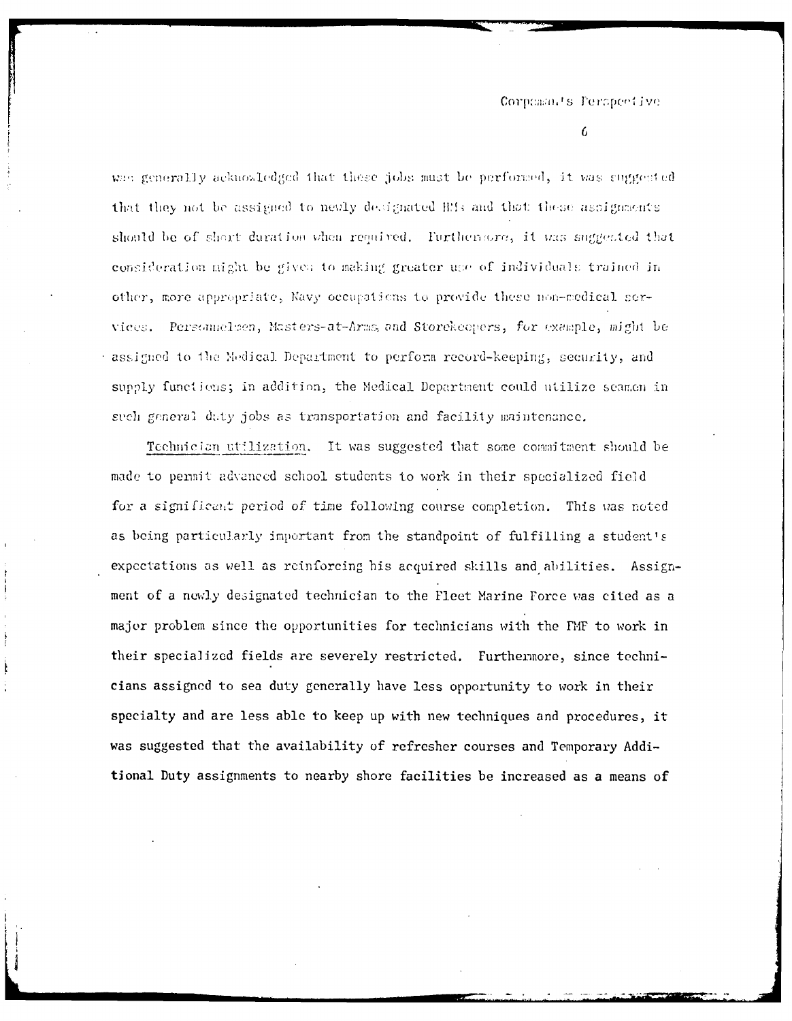#### Corpomats Perspective

6

was generally acknowledged that these jobs must be performed, it was suggested that they not be assigned to nevly designated Hfs and that these assignments should be of shart duration when required. Furthermore, it was suggested that consideration might be given to making greater use of individuals trained in other, more appropriate, Navy occupations to provide these non-medical services. Personnelsen, Masters-at-Arms, and Storekeepers, for example, might be assigned to the Medical Department to perform record-keeping, security, and supply functions; in addition, the Medical Department could utilize seamen in such general daty jobs as transportation and facility maintenance.

Technician utilization. It was suggested that some commitment should be made to permit advanced school students to work in their specialized field for a significant period of time following course completion. This was noted as being particularly important from the standpoint of fulfilling a student's expectations as well as reinforcing his acquired skills and abilities. Assignment of a newly designated technician to the Fleet Marine Force was cited as a major problem since the opportunities for technicians with the FMF to work in their specialized fields are severely restricted. Furthermore, since technicians assigned to sea duty generally have less opportunity to work in their specialty and are less able to keep up with new techniques and procedures, it was suggested that the availability of refresher courses and Temporary Additional Duty assignments to nearby shore facilities be increased as a means of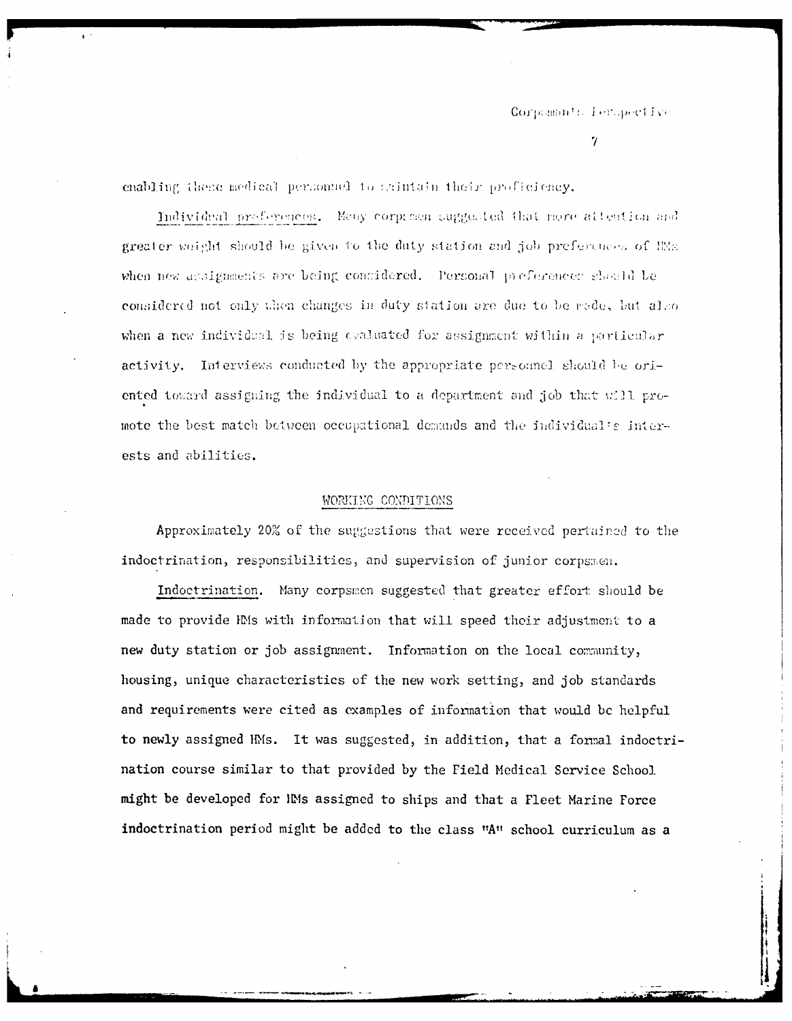$\gamma$ 

enabling these medical personael to exintain their proficiency.

 $\mathbf{r}$  .

Individual preferences. Many corporsen suggested that more attention and greater weight should be given to the duty station and job preferences of IMs. when new assignments are being considered. Personal preferences should be considered not only then changes in duty station are due to be made, but also when a new individual is being evaluated for assignment within a particular activity. Interviews conducted by the appropriate personnel should be oriented toward assigning the individual to a department and job that will promote the best match between occupational demands and the individual's interests and abilities.

#### WORKING CONDITIONS

Approximately 20% of the suggestions that were received pertained to the indoctrination, responsibilities, and supervision of junior corpsmen.

Indoctrination. Many corpsmen suggested that greater effort should be made to provide HMs with information that will speed their adjustment to a new duty station or job assignment. Information on the local community, housing, unique characteristics of the new work setting, and job standards and requirements were cited as examples of information that would be helpful to newly assigned HMs. It was suggested, in addition, that a formal indoctrination course similar to that provided by the Field Medical Service School. might be developed for HMs assigned to ships and that a Fleet Marine Force indoctrination period might be added to the class "A" school curriculum as a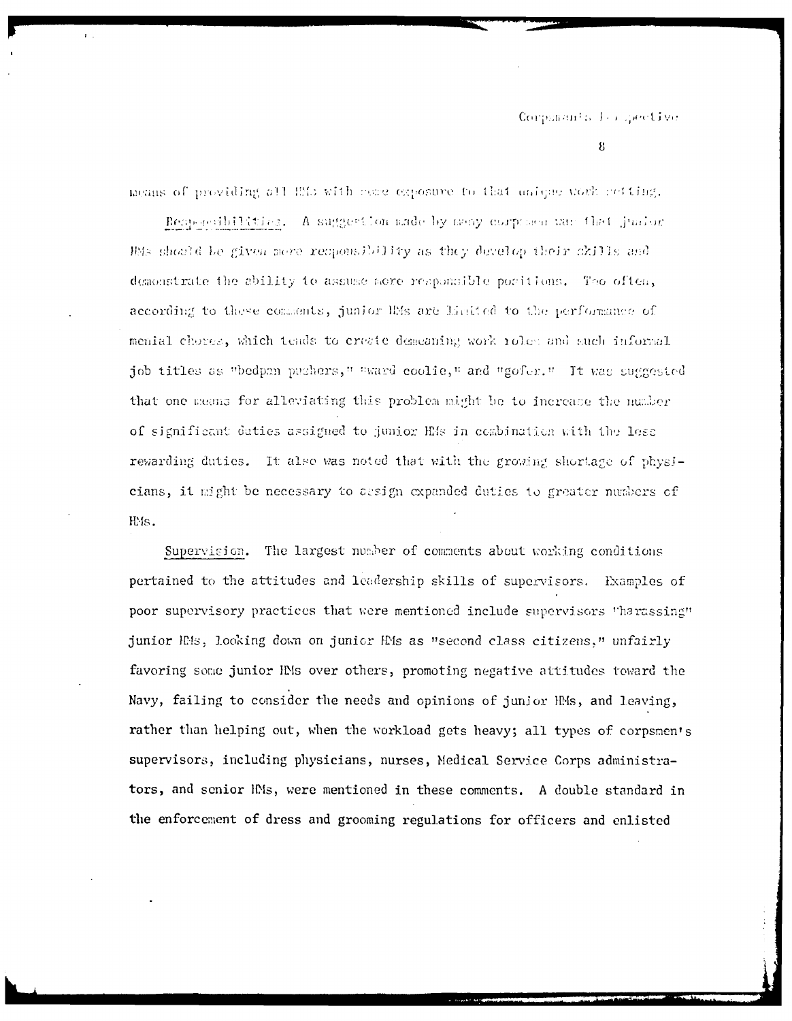### Corponants for specifive

8

means of providing all ELS with come exposure to that unique work netting.

Removesibilities. A suggestion ande by meay corpresent war that junior HAs should be given more reuponsibility as they develop their ckills and demonstrate the ability to assume more responsible positions. Too often, according to these comments, junior IMs are Linited to the performance of menial chores, which tends to create demeaning work roles and such informal job titles as "bedpan pushers," "ward coolie," and "gofer." It was suggested that one means for alleviating this problem might be to increase the number of significant duties assigned to junior HMs in combination with the less rewarding duties. It also was noted that with the growing shortage of physicians, it might be necessary to assign expanded duties to greater numbers of IMs.

Supervision. The largest number of comments about working conditions pertained to the attitudes and leadership skills of supervisors. Examples of poor supervisory practices that were mentioned include supervisors "harassing" junior HMs, looking down on junior HMs as "second class citizens," unfairly favoring some junior IMs over others, promoting negative attitudes toward the Navy, failing to consider the needs and opinions of junior HMs, and leaving, rather than helping out, when the workload gets heavy; all types of corpsmen's supervisors, including physicians, nurses, Medical Service Corps administrators, and senior IMs, were mentioned in these comments. A double standard in the enforcement of dress and grooming regulations for officers and enlisted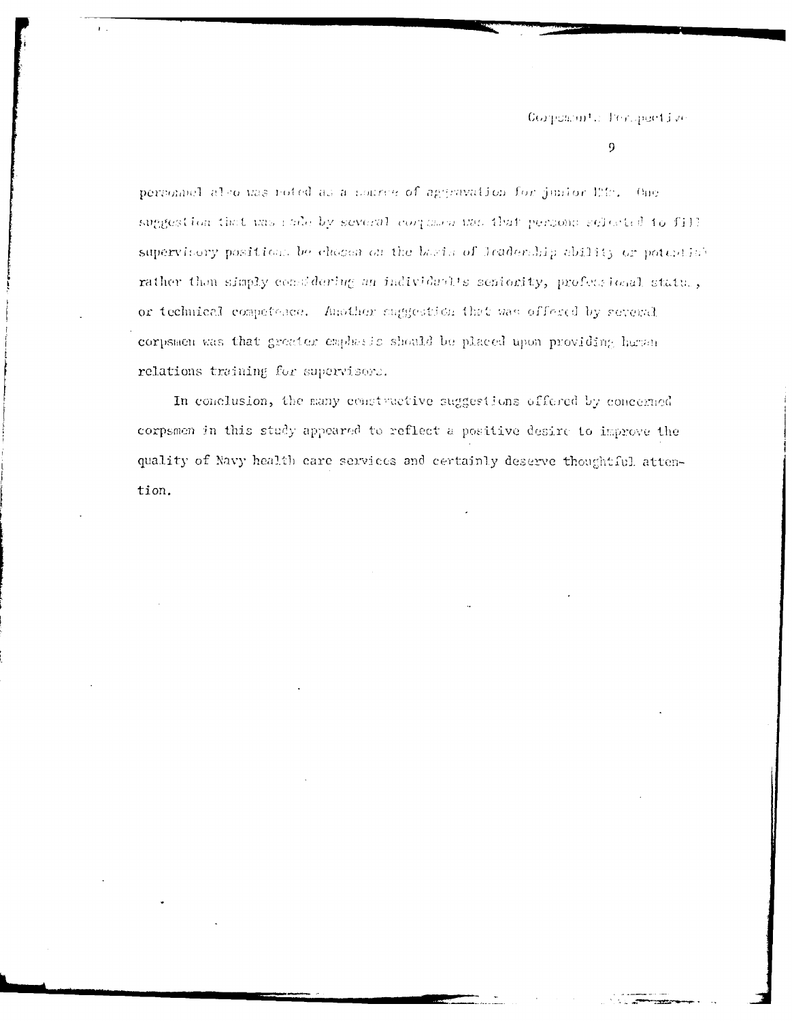Corposition to Perspective

#### $\Omega$

personnel also was roted as a source of aggravation for junior life. One suggestion that was rade by several corposen was that persons selected to fill. supervisory positions be chosen on the basis of Jeadership ability or potential rather than simply considering an individual's seniority, professional status, or technical competence. Another suggestion that was offered by several corpsmen was that greater emphasic should be placed upon providing human relations training for supervisors.

In conclusion, the many constructive suggestions offered by concerned corpsmen in this study appeared to reflect a positive desire to improve the quality of Navy health care services and certainly deserve thoughtful attention.